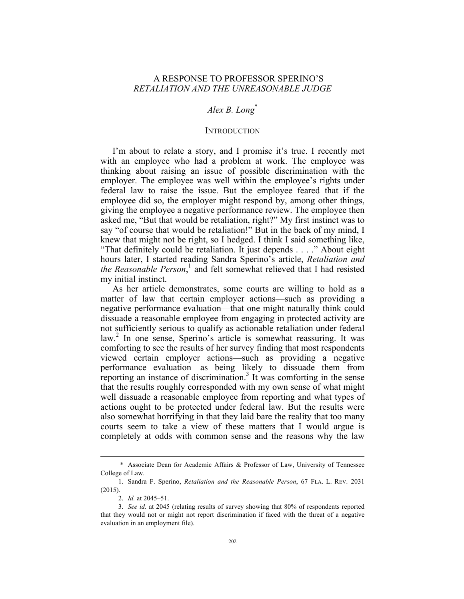# A RESPONSE TO PROFESSOR SPERINO'S *RETALIATION AND THE UNREASONABLE JUDGE*

# *Alex B. Long*\*

### **INTRODUCTION**

I'm about to relate a story, and I promise it's true. I recently met with an employee who had a problem at work. The employee was thinking about raising an issue of possible discrimination with the employer. The employee was well within the employee's rights under federal law to raise the issue. But the employee feared that if the employee did so, the employer might respond by, among other things, giving the employee a negative performance review. The employee then asked me, "But that would be retaliation, right?" My first instinct was to say "of course that would be retaliation!" But in the back of my mind, I knew that might not be right, so I hedged. I think I said something like, "That definitely could be retaliation. It just depends . . . ." About eight hours later, I started reading Sandra Sperino's article, *Retaliation and the Reasonable Person*, <sup>1</sup> and felt somewhat relieved that I had resisted my initial instinct.

As her article demonstrates, some courts are willing to hold as a matter of law that certain employer actions—such as providing a negative performance evaluation—that one might naturally think could dissuade a reasonable employee from engaging in protected activity are not sufficiently serious to qualify as actionable retaliation under federal  $law<sup>2</sup>$  In one sense, Sperino's article is somewhat reassuring. It was comforting to see the results of her survey finding that most respondents viewed certain employer actions—such as providing a negative performance evaluation—as being likely to dissuade them from reporting an instance of discrimination.<sup>3</sup> It was comforting in the sense that the results roughly corresponded with my own sense of what might well dissuade a reasonable employee from reporting and what types of actions ought to be protected under federal law. But the results were also somewhat horrifying in that they laid bare the reality that too many courts seem to take a view of these matters that I would argue is completely at odds with common sense and the reasons why the law

 <sup>\*</sup> Associate Dean for Academic Affairs & Professor of Law, University of Tennessee College of Law.

<sup>1.</sup> Sandra F. Sperino, *Retaliation and the Reasonable Person*, 67 FLA. L. REV. 2031 (2015).

<sup>2.</sup> *Id.* at 2045–51.

<sup>3.</sup> *See id.* at 2045 (relating results of survey showing that 80% of respondents reported that they would not or might not report discrimination if faced with the threat of a negative evaluation in an employment file).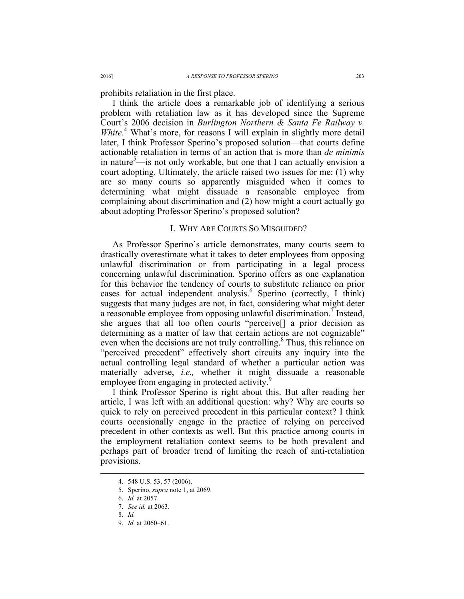prohibits retaliation in the first place.

I think the article does a remarkable job of identifying a serious problem with retaliation law as it has developed since the Supreme Court's 2006 decision in *Burlington Northern & Santa Fe Railway v.*  White.<sup>4</sup> What's more, for reasons I will explain in slightly more detail later, I think Professor Sperino's proposed solution—that courts define actionable retaliation in terms of an action that is more than *de minimis* in nature<sup>5</sup>—is not only workable, but one that I can actually envision a court adopting. Ultimately, the article raised two issues for me: (1) why are so many courts so apparently misguided when it comes to determining what might dissuade a reasonable employee from complaining about discrimination and (2) how might a court actually go about adopting Professor Sperino's proposed solution?

### I. WHY ARE COURTS SO MISGUIDED?

As Professor Sperino's article demonstrates, many courts seem to drastically overestimate what it takes to deter employees from opposing unlawful discrimination or from participating in a legal process concerning unlawful discrimination. Sperino offers as one explanation for this behavior the tendency of courts to substitute reliance on prior cases for actual independent analysis.<sup>6</sup> Sperino (correctly, I think) suggests that many judges are not, in fact, considering what might deter a reasonable employee from opposing unlawful discrimination.<sup>7</sup> Instead, she argues that all too often courts "perceive[] a prior decision as determining as a matter of law that certain actions are not cognizable" even when the decisions are not truly controlling.<sup>8</sup> Thus, this reliance on "perceived precedent" effectively short circuits any inquiry into the actual controlling legal standard of whether a particular action was materially adverse, *i.e.,* whether it might dissuade a reasonable employee from engaging in protected activity.

I think Professor Sperino is right about this. But after reading her article, I was left with an additional question: why? Why are courts so quick to rely on perceived precedent in this particular context? I think courts occasionally engage in the practice of relying on perceived precedent in other contexts as well. But this practice among courts in the employment retaliation context seems to be both prevalent and perhaps part of broader trend of limiting the reach of anti-retaliation provisions.

 <sup>4.</sup> 548 U.S. 53, 57 (2006).

<sup>5.</sup> Sperino, *supra* note 1, at 2069.

<sup>6.</sup> *Id.* at 2057.

<sup>7.</sup> *See id.* at 2063.

<sup>8.</sup> *Id.*

<sup>9.</sup> *Id.* at 2060–61.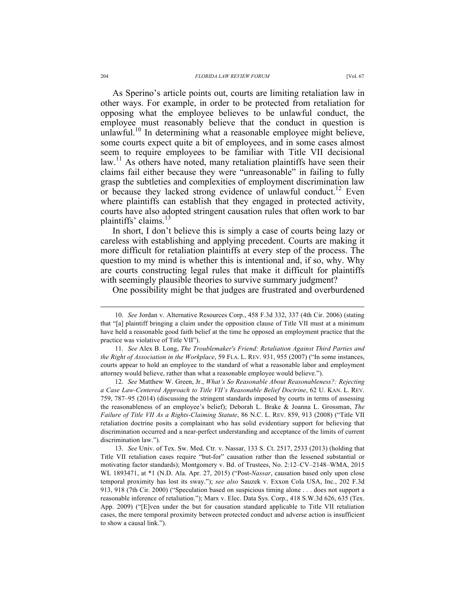As Sperino's article points out, courts are limiting retaliation law in other ways. For example, in order to be protected from retaliation for opposing what the employee believes to be unlawful conduct, the employee must reasonably believe that the conduct in question is unlawful.<sup>10</sup> In determining what a reasonable employee might believe, some courts expect quite a bit of employees, and in some cases almost seem to require employees to be familiar with Title VII decisional  $\lambda$ law.<sup>11</sup> As others have noted, many retaliation plaintiffs have seen their claims fail either because they were "unreasonable" in failing to fully grasp the subtleties and complexities of employment discrimination law or because they lacked strong evidence of unlawful conduct.<sup>12</sup> Even where plaintiffs can establish that they engaged in protected activity, courts have also adopted stringent causation rules that often work to bar plaintiffs' claims.<sup>13</sup>

In short, I don't believe this is simply a case of courts being lazy or careless with establishing and applying precedent. Courts are making it more difficult for retaliation plaintiffs at every step of the process. The question to my mind is whether this is intentional and, if so, why. Why are courts constructing legal rules that make it difficult for plaintiffs with seemingly plausible theories to survive summary judgment?

One possibility might be that judges are frustrated and overburdened

 <sup>10.</sup> *See* Jordan v. Alternative Resources Corp., 458 F.3d 332, 337 (4th Cir. 2006) (stating that "[a] plaintiff bringing a claim under the opposition clause of Title VII must at a minimum have held a reasonable good faith belief at the time he opposed an employment practice that the practice was violative of Title VII").

<sup>11.</sup> *See* Alex B. Long, *The Troublemaker's Friend: Retaliation Against Third Parties and the Right of Association in the Workplace*, 59 FLA. L. REV. 931, 955 (2007) ("In some instances, courts appear to hold an employee to the standard of what a reasonable labor and employment attorney would believe, rather than what a reasonable employee would believe.").

<sup>12.</sup> *See* Matthew W. Green, Jr., *What's So Reasonable About Reasonableness?: Rejecting a Case Law-Centered Approach to Title VII's Reasonable Belief Doctrine*, 62 U. KAN. L. REV. 759, 787–95 (2014) (discussing the stringent standards imposed by courts in terms of assessing the reasonableness of an employee's belief); Deborah L. Brake & Joanna L. Grossman, *The Failure of Title VII As a Rights-Claiming Statute*, 86 N.C. L. REV. 859, 913 (2008) ("Title VII retaliation doctrine posits a complainant who has solid evidentiary support for believing that discrimination occurred and a near-perfect understanding and acceptance of the limits of current discrimination law.").

<sup>13.</sup> *See* Univ. of Tex. Sw. Med. Ctr. v. Nassar, 133 S. Ct. 2517, 2533 (2013) (holding that Title VII retaliation cases require "but-for" causation rather than the lessened substantial or motivating factor standards); Montgomery v. Bd. of Trustees, No. 2:12–CV–2148–WMA, 2015 WL 1893471, at \*1 (N.D. Ala. Apr. 27, 2015) ("Post-*Nassar*, causation based only upon close temporal proximity has lost its sway."); *see also* Sauzek v. Exxon Cola USA, Inc., 202 F.3d 913, 918 (7th Cir. 2000) ("Speculation based on suspicious timing alone . . . does not support a reasonable inference of retaliation."); Marx v. Elec. Data Sys. Corp., 418 S.W.3d 626, 635 (Tex. App. 2009) ("[E]ven under the but for causation standard applicable to Title VII retaliation cases, the mere temporal proximity between protected conduct and adverse action is insufficient to show a causal link.").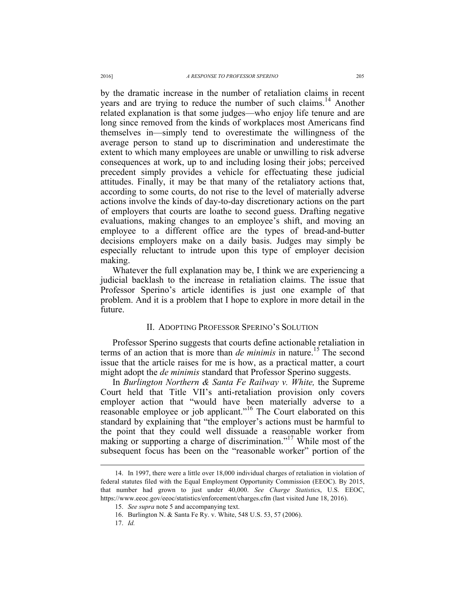by the dramatic increase in the number of retaliation claims in recent years and are trying to reduce the number of such claims.<sup>14</sup> Another related explanation is that some judges—who enjoy life tenure and are long since removed from the kinds of workplaces most Americans find themselves in—simply tend to overestimate the willingness of the average person to stand up to discrimination and underestimate the extent to which many employees are unable or unwilling to risk adverse consequences at work, up to and including losing their jobs; perceived precedent simply provides a vehicle for effectuating these judicial attitudes. Finally, it may be that many of the retaliatory actions that, according to some courts, do not rise to the level of materially adverse actions involve the kinds of day-to-day discretionary actions on the part of employers that courts are loathe to second guess. Drafting negative evaluations, making changes to an employee's shift, and moving an employee to a different office are the types of bread-and-butter decisions employers make on a daily basis. Judges may simply be especially reluctant to intrude upon this type of employer decision making.

Whatever the full explanation may be, I think we are experiencing a judicial backlash to the increase in retaliation claims. The issue that Professor Sperino's article identifies is just one example of that problem. And it is a problem that I hope to explore in more detail in the future.

#### II. ADOPTING PROFESSOR SPERINO'S SOLUTION

Professor Sperino suggests that courts define actionable retaliation in terms of an action that is more than *de minimis* in nature.<sup>15</sup> The second issue that the article raises for me is how, as a practical matter, a court might adopt the *de minimis* standard that Professor Sperino suggests.

In *Burlington Northern & Santa Fe Railway v. White,* the Supreme Court held that Title VII's anti-retaliation provision only covers employer action that "would have been materially adverse to a reasonable employee or job applicant."<sup>16</sup> The Court elaborated on this standard by explaining that "the employer's actions must be harmful to the point that they could well dissuade a reasonable worker from making or supporting a charge of discrimination."<sup>17</sup> While most of the subsequent focus has been on the "reasonable worker" portion of the

 <sup>14.</sup> In 1997, there were a little over 18,000 individual charges of retaliation in violation of federal statutes filed with the Equal Employment Opportunity Commission (EEOC). By 2015, that number had grown to just under 40,000. *See Charge Statistic*s, U.S. EEOC, https://www.eeoc.gov/eeoc/statistics/enforcement/charges.cfm (last visited June 18, 2016).

<sup>15.</sup> *See supra* note 5 and accompanying text.

<sup>16.</sup> Burlington N. & Santa Fe Ry. v. White, 548 U.S. 53, 57 (2006).

<sup>17.</sup> *Id.*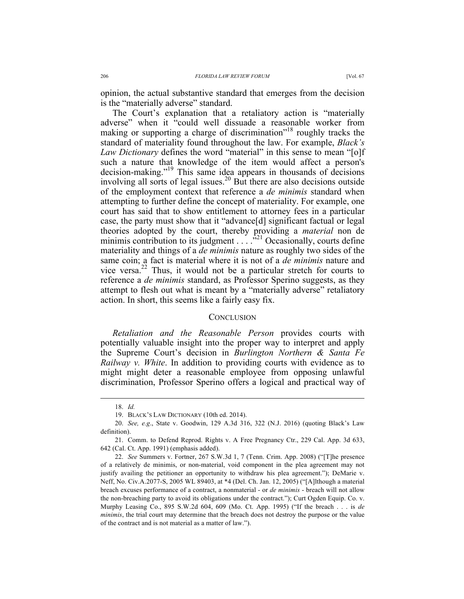opinion, the actual substantive standard that emerges from the decision is the "materially adverse" standard.

The Court's explanation that a retaliatory action is "materially adverse" when it "could well dissuade a reasonable worker from making or supporting a charge of discrimination<sup>"18</sup> roughly tracks the standard of materiality found throughout the law. For example, *Black's Law Dictionary* defines the word "material" in this sense to mean "[o]f such a nature that knowledge of the item would affect a person's decision-making."<sup>19</sup> This same idea appears in thousands of decisions involving all sorts of legal issues.<sup>20</sup> But there are also decisions outside of the employment context that reference a *de minimis* standard when attempting to further define the concept of materiality. For example, one court has said that to show entitlement to attorney fees in a particular case, the party must show that it "advance[d] significant factual or legal theories adopted by the court, thereby providing a *material* non de minimis contribution to its judgment  $\ldots$   $\frac{1}{2}$  Occasionally, courts define materiality and things of a *de minimis* nature as roughly two sides of the same coin; a fact is material where it is not of a *de minimis* nature and vice versa.<sup>22</sup> Thus, it would not be a particular stretch for courts to reference a *de minimis* standard, as Professor Sperino suggests, as they attempt to flesh out what is meant by a "materially adverse" retaliatory action. In short, this seems like a fairly easy fix.

#### **CONCLUSION**

*Retaliation and the Reasonable Person* provides courts with potentially valuable insight into the proper way to interpret and apply the Supreme Court's decision in *Burlington Northern & Santa Fe Railway v. White*. In addition to providing courts with evidence as to might might deter a reasonable employee from opposing unlawful discrimination, Professor Sperino offers a logical and practical way of

 <sup>18.</sup> *Id.*

<sup>19.</sup> BLACK'S LAW DICTIONARY (10th ed. 2014).

<sup>20.</sup> *See, e.g*., State v. Goodwin, 129 A.3d 316, 322 (N.J. 2016) (quoting Black's Law definition).

<sup>21.</sup> Comm. to Defend Reprod. Rights v. A Free Pregnancy Ctr., 229 Cal. App. 3d 633, 642 (Cal. Ct. App. 1991) (emphasis added).

<sup>22.</sup> *See* Summers v. Fortner, 267 S.W.3d 1, 7 (Tenn. Crim. App. 2008) ("[T]he presence of a relatively de minimis, or non-material, void component in the plea agreement may not justify availing the petitioner an opportunity to withdraw his plea agreement."); DeMarie v. Neff, No. Civ.A.2077-S, 2005 WL 89403, at \*4 (Del. Ch. Jan. 12, 2005) ("[A]lthough a material breach excuses performance of a contract, a nonmaterial - or *de minimis* - breach will not allow the non-breaching party to avoid its obligations under the contract."); Curt Ogden Equip. Co. v. Murphy Leasing Co., 895 S.W.2d 604, 609 (Mo. Ct. App. 1995) ("If the breach . . . is *de minimis*, the trial court may determine that the breach does not destroy the purpose or the value of the contract and is not material as a matter of law.").